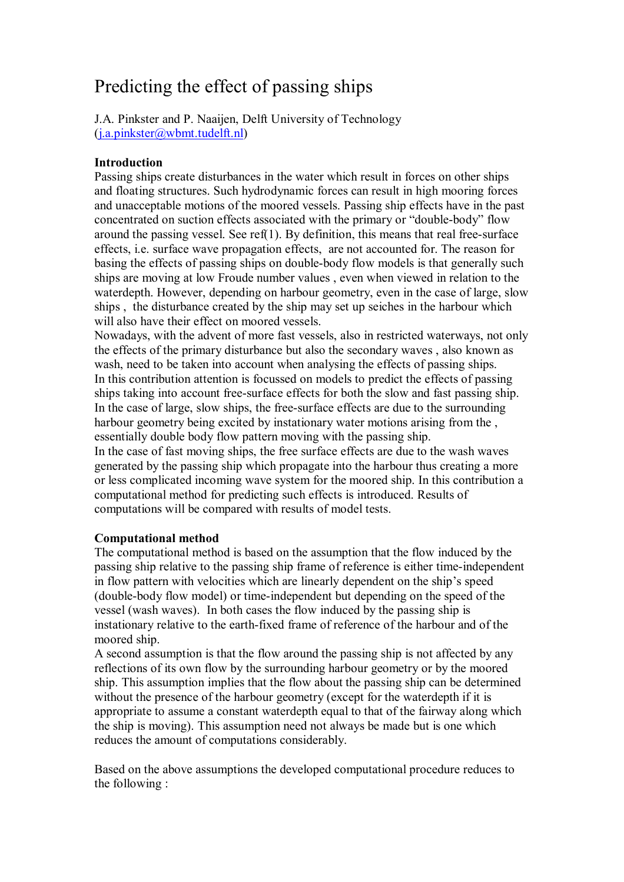# Predicting the effect of passing ships

J.A. Pinkster and P. Naaijen, Delft University of Technology  $(i.a.pinkster@when.tudelft.nl)$ 

# **Introduction**

Passing ships create disturbances in the water which result in forces on other ships and floating structures. Such hydrodynamic forces can result in high mooring forces and unacceptable motions of the moored vessels. Passing ship effects have in the past concentrated on suction effects associated with the primary or "double-body" flow around the passing vessel. See ref(1). By definition, this means that real free-surface effects, i.e. surface wave propagation effects, are not accounted for. The reason for basing the effects of passing ships on double-body flow models is that generally such ships are moving at low Froude number values , even when viewed in relation to the waterdepth. However, depending on harbour geometry, even in the case of large, slow ships , the disturbance created by the ship may set up seiches in the harbour which will also have their effect on moored vessels.

Nowadays, with the advent of more fast vessels, also in restricted waterways, not only the effects of the primary disturbance but also the secondary waves , also known as wash, need to be taken into account when analysing the effects of passing ships. In this contribution attention is focussed on models to predict the effects of passing ships taking into account free-surface effects for both the slow and fast passing ship. In the case of large, slow ships, the free-surface effects are due to the surrounding harbour geometry being excited by instationary water motions arising from the. essentially double body flow pattern moving with the passing ship. In the case of fast moving ships, the free surface effects are due to the wash waves generated by the passing ship which propagate into the harbour thus creating a more or less complicated incoming wave system for the moored ship. In this contribution a computational method for predicting such effects is introduced. Results of computations will be compared with results of model tests.

## **Computational method**

The computational method is based on the assumption that the flow induced by the passing ship relative to the passing ship frame of reference is either time-independent in flow pattern with velocities which are linearly dependent on the ship's speed (double-body flow model) or time-independent but depending on the speed of the vessel (wash waves). In both cases the flow induced by the passing ship is instationary relative to the earth-fixed frame of reference of the harbour and of the moored ship.

A second assumption is that the flow around the passing ship is not affected by any reflections of its own flow by the surrounding harbour geometry or by the moored ship. This assumption implies that the flow about the passing ship can be determined without the presence of the harbour geometry (except for the waterdepth if it is appropriate to assume a constant waterdepth equal to that of the fairway along which the ship is moving). This assumption need not always be made but is one which reduces the amount of computations considerably.

Based on the above assumptions the developed computational procedure reduces to the following :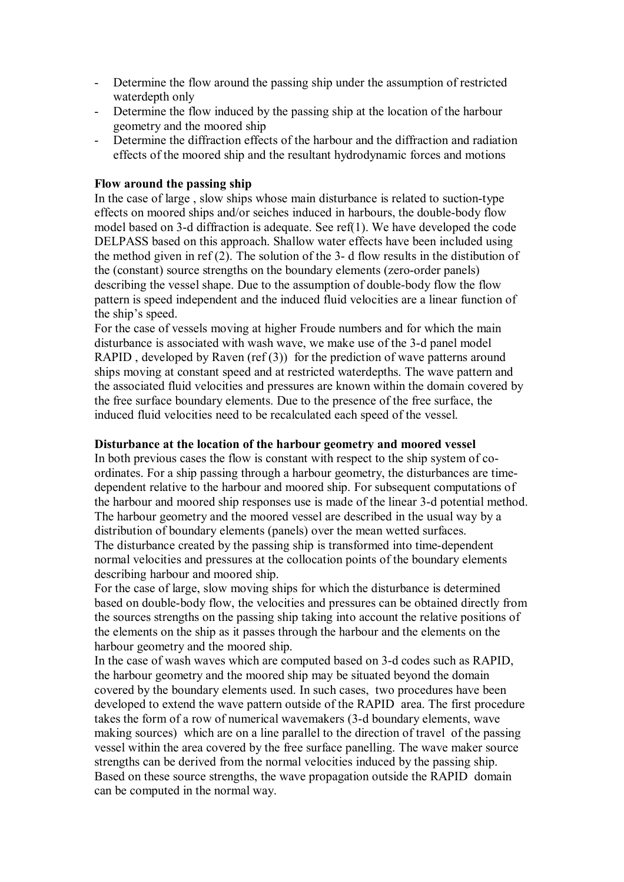- Determine the flow around the passing ship under the assumption of restricted waterdepth only
- Determine the flow induced by the passing ship at the location of the harbour geometry and the moored ship
- Determine the diffraction effects of the harbour and the diffraction and radiation effects of the moored ship and the resultant hydrodynamic forces and motions

## **Flow around the passing ship**

In the case of large , slow ships whose main disturbance is related to suction-type effects on moored ships and/or seiches induced in harbours, the double-body flow model based on 3-d diffraction is adequate. See ref(1). We have developed the code DELPASS based on this approach. Shallow water effects have been included using the method given in ref (2). The solution of the 3- d flow results in the distibution of the (constant) source strengths on the boundary elements (zero-order panels) describing the vessel shape. Due to the assumption of double-body flow the flow pattern is speed independent and the induced fluid velocities are a linear function of the ship's speed.

For the case of vessels moving at higher Froude numbers and for which the main disturbance is associated with wash wave, we make use of the 3-d panel model RAPID, developed by Raven (ref  $(3)$ ) for the prediction of wave patterns around ships moving at constant speed and at restricted waterdepths. The wave pattern and the associated fluid velocities and pressures are known within the domain covered by the free surface boundary elements. Due to the presence of the free surface, the induced fluid velocities need to be recalculated each speed of the vessel.

#### **Disturbance at the location of the harbour geometry and moored vessel**

In both previous cases the flow is constant with respect to the ship system of coordinates. For a ship passing through a harbour geometry, the disturbances are timedependent relative to the harbour and moored ship. For subsequent computations of the harbour and moored ship responses use is made of the linear 3-d potential method. The harbour geometry and the moored vessel are described in the usual way by a distribution of boundary elements (panels) over the mean wetted surfaces. The disturbance created by the passing ship is transformed into time-dependent normal velocities and pressures at the collocation points of the boundary elements describing harbour and moored ship.

For the case of large, slow moving ships for which the disturbance is determined based on double-body flow, the velocities and pressures can be obtained directly from the sources strengths on the passing ship taking into account the relative positions of the elements on the ship as it passes through the harbour and the elements on the harbour geometry and the moored ship.

In the case of wash waves which are computed based on 3-d codes such as RAPID, the harbour geometry and the moored ship may be situated beyond the domain covered by the boundary elements used. In such cases, two procedures have been developed to extend the wave pattern outside of the RAPID area. The first procedure takes the form of a row of numerical wavemakers (3-d boundary elements, wave making sources) which are on a line parallel to the direction of travel of the passing vessel within the area covered by the free surface panelling. The wave maker source strengths can be derived from the normal velocities induced by the passing ship. Based on these source strengths, the wave propagation outside the RAPID domain can be computed in the normal way.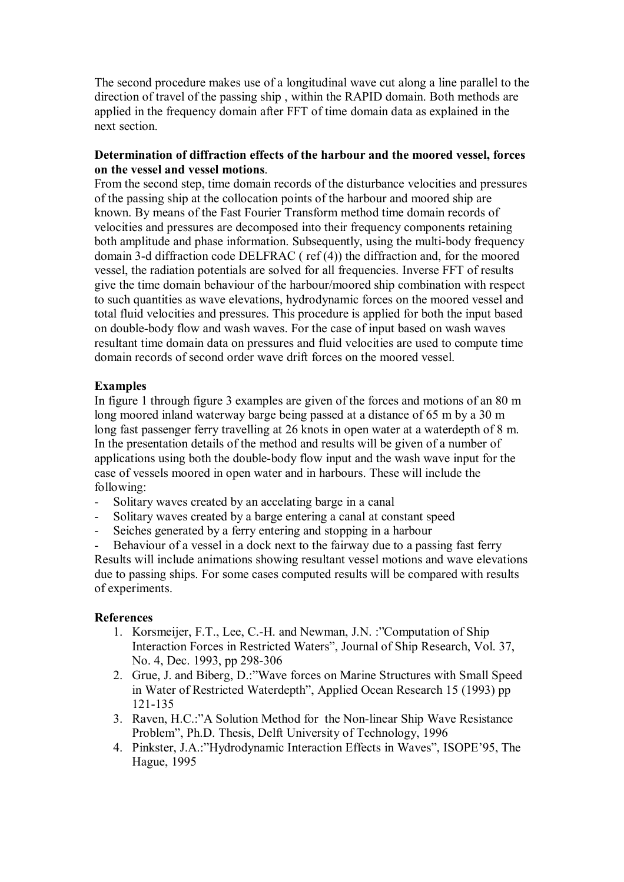The second procedure makes use of a longitudinal wave cut along a line parallel to the direction of travel of the passing ship , within the RAPID domain. Both methods are applied in the frequency domain after FFT of time domain data as explained in the next section.

## **Determination of diffraction effects of the harbour and the moored vessel, forces on the vessel and vessel motions**.

From the second step, time domain records of the disturbance velocities and pressures of the passing ship at the collocation points of the harbour and moored ship are known. By means of the Fast Fourier Transform method time domain records of velocities and pressures are decomposed into their frequency components retaining both amplitude and phase information. Subsequently, using the multi-body frequency domain 3-d diffraction code DELFRAC ( ref (4)) the diffraction and, for the moored vessel, the radiation potentials are solved for all frequencies. Inverse FFT of results give the time domain behaviour of the harbour/moored ship combination with respect to such quantities as wave elevations, hydrodynamic forces on the moored vessel and total fluid velocities and pressures. This procedure is applied for both the input based on double-body flow and wash waves. For the case of input based on wash waves resultant time domain data on pressures and fluid velocities are used to compute time domain records of second order wave drift forces on the moored vessel.

# **Examples**

In figure 1 through figure 3 examples are given of the forces and motions of an 80 m long moored inland waterway barge being passed at a distance of 65 m by a 30 m long fast passenger ferry travelling at 26 knots in open water at a waterdepth of 8 m. In the presentation details of the method and results will be given of a number of applications using both the double-body flow input and the wash wave input for the case of vessels moored in open water and in harbours. These will include the following:

- Solitary waves created by an accelating barge in a canal
- Solitary waves created by a barge entering a canal at constant speed
- Seiches generated by a ferry entering and stopping in a harbour

Behaviour of a vessel in a dock next to the fairway due to a passing fast ferry Results will include animations showing resultant vessel motions and wave elevations due to passing ships. For some cases computed results will be compared with results of experiments.

## **References**

- 1. Korsmeijer, F.T., Lee, C.-H. and Newman, J.N. : "Computation of Ship Interaction Forces in Restricted Waters", Journal of Ship Research, Vol. 37, No. 4, Dec. 1993, pp 298-306
- 2. Grue, J. and Biberg, D.: "Wave forces on Marine Structures with Small Speed in Water of Restricted Waterdepth<sup>"</sup>, Applied Ocean Research 15 (1993) pp 121-135
- 3. Raven, H.C.:"A Solution Method for the Non-linear Ship Wave Resistance Problemî, Ph.D. Thesis, Delft University of Technology, 1996
- 4. Pinkster, J.A.:"Hydrodynamic Interaction Effects in Waves", ISOPE'95, The Hague, 1995